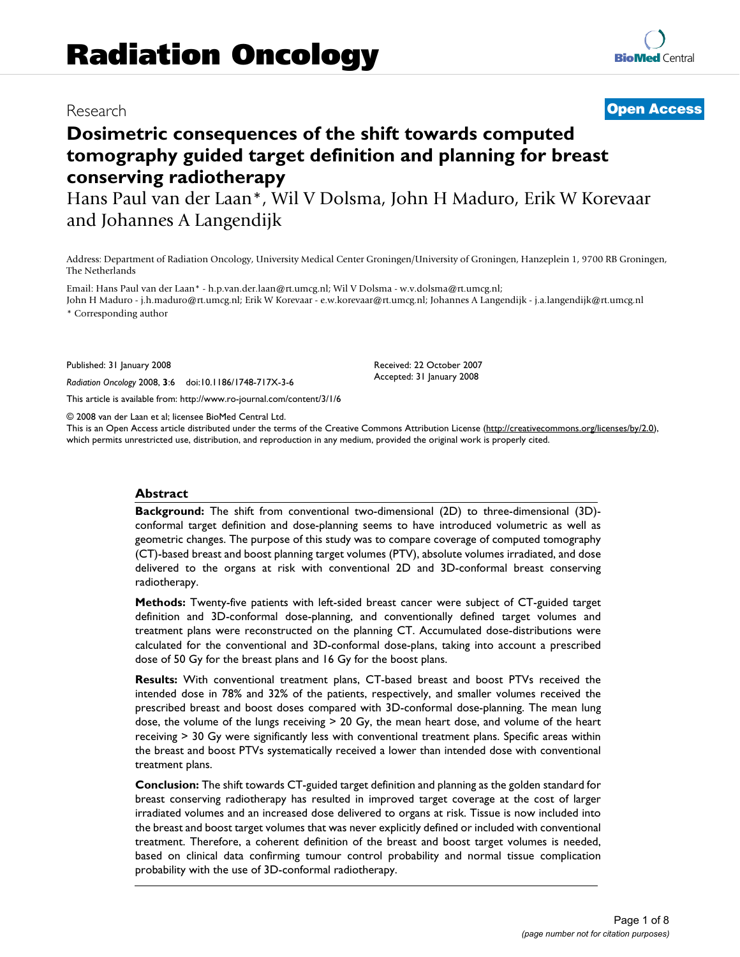## Research **[Open Access](http://www.biomedcentral.com/info/about/charter/)**

# **Dosimetric consequences of the shift towards computed tomography guided target definition and planning for breast conserving radiotherapy**

Hans Paul van der Laan\*, Wil V Dolsma, John H Maduro, Erik W Korevaar and Johannes A Langendijk

Address: Department of Radiation Oncology, University Medical Center Groningen/University of Groningen, Hanzeplein 1, 9700 RB Groningen, The Netherlands

Email: Hans Paul van der Laan\* - h.p.van.der.laan@rt.umcg.nl; Wil V Dolsma - w.v.dolsma@rt.umcg.nl; John H Maduro - j.h.maduro@rt.umcg.nl; Erik W Korevaar - e.w.korevaar@rt.umcg.nl; Johannes A Langendijk - j.a.langendijk@rt.umcg.nl \* Corresponding author

Published: 31 January 2008

*Radiation Oncology* 2008, **3**:6 doi:10.1186/1748-717X-3-6

[This article is available from: http://www.ro-journal.com/content/3/1/6](http://www.ro-journal.com/content/3/1/6)

© 2008 van der Laan et al; licensee BioMed Central Ltd.

This is an Open Access article distributed under the terms of the Creative Commons Attribution License [\(http://creativecommons.org/licenses/by/2.0\)](http://creativecommons.org/licenses/by/2.0), which permits unrestricted use, distribution, and reproduction in any medium, provided the original work is properly cited.

Received: 22 October 2007 Accepted: 31 January 2008

#### **Abstract**

**Background:** The shift from conventional two-dimensional (2D) to three-dimensional (3D) conformal target definition and dose-planning seems to have introduced volumetric as well as geometric changes. The purpose of this study was to compare coverage of computed tomography (CT)-based breast and boost planning target volumes (PTV), absolute volumes irradiated, and dose delivered to the organs at risk with conventional 2D and 3D-conformal breast conserving radiotherapy.

**Methods:** Twenty-five patients with left-sided breast cancer were subject of CT-guided target definition and 3D-conformal dose-planning, and conventionally defined target volumes and treatment plans were reconstructed on the planning CT. Accumulated dose-distributions were calculated for the conventional and 3D-conformal dose-plans, taking into account a prescribed dose of 50 Gy for the breast plans and 16 Gy for the boost plans.

**Results:** With conventional treatment plans, CT-based breast and boost PTVs received the intended dose in 78% and 32% of the patients, respectively, and smaller volumes received the prescribed breast and boost doses compared with 3D-conformal dose-planning. The mean lung dose, the volume of the lungs receiving > 20 Gy, the mean heart dose, and volume of the heart receiving > 30 Gy were significantly less with conventional treatment plans. Specific areas within the breast and boost PTVs systematically received a lower than intended dose with conventional treatment plans.

**Conclusion:** The shift towards CT-guided target definition and planning as the golden standard for breast conserving radiotherapy has resulted in improved target coverage at the cost of larger irradiated volumes and an increased dose delivered to organs at risk. Tissue is now included into the breast and boost target volumes that was never explicitly defined or included with conventional treatment. Therefore, a coherent definition of the breast and boost target volumes is needed, based on clinical data confirming tumour control probability and normal tissue complication probability with the use of 3D-conformal radiotherapy.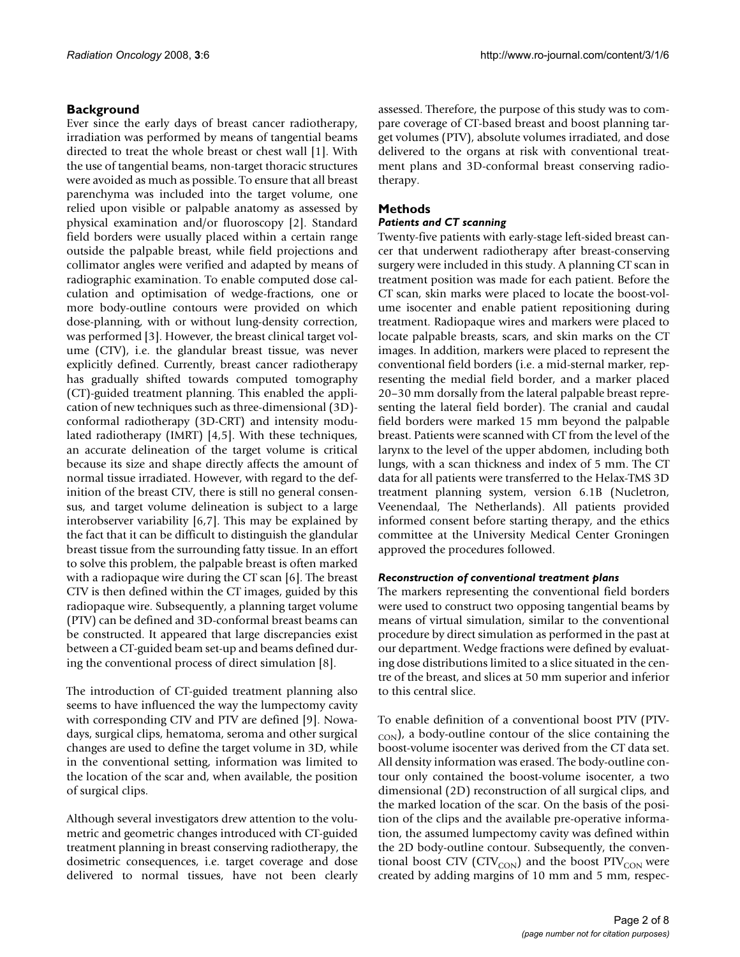### **Background**

Ever since the early days of breast cancer radiotherapy, irradiation was performed by means of tangential beams directed to treat the whole breast or chest wall [1]. With the use of tangential beams, non-target thoracic structures were avoided as much as possible. To ensure that all breast parenchyma was included into the target volume, one relied upon visible or palpable anatomy as assessed by physical examination and/or fluoroscopy [2]. Standard field borders were usually placed within a certain range outside the palpable breast, while field projections and collimator angles were verified and adapted by means of radiographic examination. To enable computed dose calculation and optimisation of wedge-fractions, one or more body-outline contours were provided on which dose-planning, with or without lung-density correction, was performed [3]. However, the breast clinical target volume (CTV), i.e. the glandular breast tissue, was never explicitly defined. Currently, breast cancer radiotherapy has gradually shifted towards computed tomography (CT)-guided treatment planning. This enabled the application of new techniques such as three-dimensional (3D) conformal radiotherapy (3D-CRT) and intensity modulated radiotherapy (IMRT) [4,5]. With these techniques, an accurate delineation of the target volume is critical because its size and shape directly affects the amount of normal tissue irradiated. However, with regard to the definition of the breast CTV, there is still no general consensus, and target volume delineation is subject to a large interobserver variability [6,7]. This may be explained by the fact that it can be difficult to distinguish the glandular breast tissue from the surrounding fatty tissue. In an effort to solve this problem, the palpable breast is often marked with a radiopaque wire during the CT scan [6]. The breast CTV is then defined within the CT images, guided by this radiopaque wire. Subsequently, a planning target volume (PTV) can be defined and 3D-conformal breast beams can be constructed. It appeared that large discrepancies exist between a CT-guided beam set-up and beams defined during the conventional process of direct simulation [8].

The introduction of CT-guided treatment planning also seems to have influenced the way the lumpectomy cavity with corresponding CTV and PTV are defined [9]. Nowadays, surgical clips, hematoma, seroma and other surgical changes are used to define the target volume in 3D, while in the conventional setting, information was limited to the location of the scar and, when available, the position of surgical clips.

Although several investigators drew attention to the volumetric and geometric changes introduced with CT-guided treatment planning in breast conserving radiotherapy, the dosimetric consequences, i.e. target coverage and dose delivered to normal tissues, have not been clearly assessed. Therefore, the purpose of this study was to compare coverage of CT-based breast and boost planning target volumes (PTV), absolute volumes irradiated, and dose delivered to the organs at risk with conventional treatment plans and 3D-conformal breast conserving radiotherapy.

### **Methods**

#### *Patients and CT scanning*

Twenty-five patients with early-stage left-sided breast cancer that underwent radiotherapy after breast-conserving surgery were included in this study. A planning CT scan in treatment position was made for each patient. Before the CT scan, skin marks were placed to locate the boost-volume isocenter and enable patient repositioning during treatment. Radiopaque wires and markers were placed to locate palpable breasts, scars, and skin marks on the CT images. In addition, markers were placed to represent the conventional field borders (i.e. a mid-sternal marker, representing the medial field border, and a marker placed 20–30 mm dorsally from the lateral palpable breast representing the lateral field border). The cranial and caudal field borders were marked 15 mm beyond the palpable breast. Patients were scanned with CT from the level of the larynx to the level of the upper abdomen, including both lungs, with a scan thickness and index of 5 mm. The CT data for all patients were transferred to the Helax-TMS 3D treatment planning system, version 6.1B (Nucletron, Veenendaal, The Netherlands). All patients provided informed consent before starting therapy, and the ethics committee at the University Medical Center Groningen approved the procedures followed.

#### *Reconstruction of conventional treatment plans*

The markers representing the conventional field borders were used to construct two opposing tangential beams by means of virtual simulation, similar to the conventional procedure by direct simulation as performed in the past at our department. Wedge fractions were defined by evaluating dose distributions limited to a slice situated in the centre of the breast, and slices at 50 mm superior and inferior to this central slice.

To enable definition of a conventional boost PTV (PTV- $_{\text{CON}}$ ), a body-outline contour of the slice containing the boost-volume isocenter was derived from the CT data set. All density information was erased. The body-outline contour only contained the boost-volume isocenter, a two dimensional (2D) reconstruction of all surgical clips, and the marked location of the scar. On the basis of the position of the clips and the available pre-operative information, the assumed lumpectomy cavity was defined within the 2D body-outline contour. Subsequently, the conventional boost CTV ( $\text{CTV}_{\text{CON}}$ ) and the boost  $\text{PTV}_{\text{CON}}$  were created by adding margins of 10 mm and 5 mm, respec-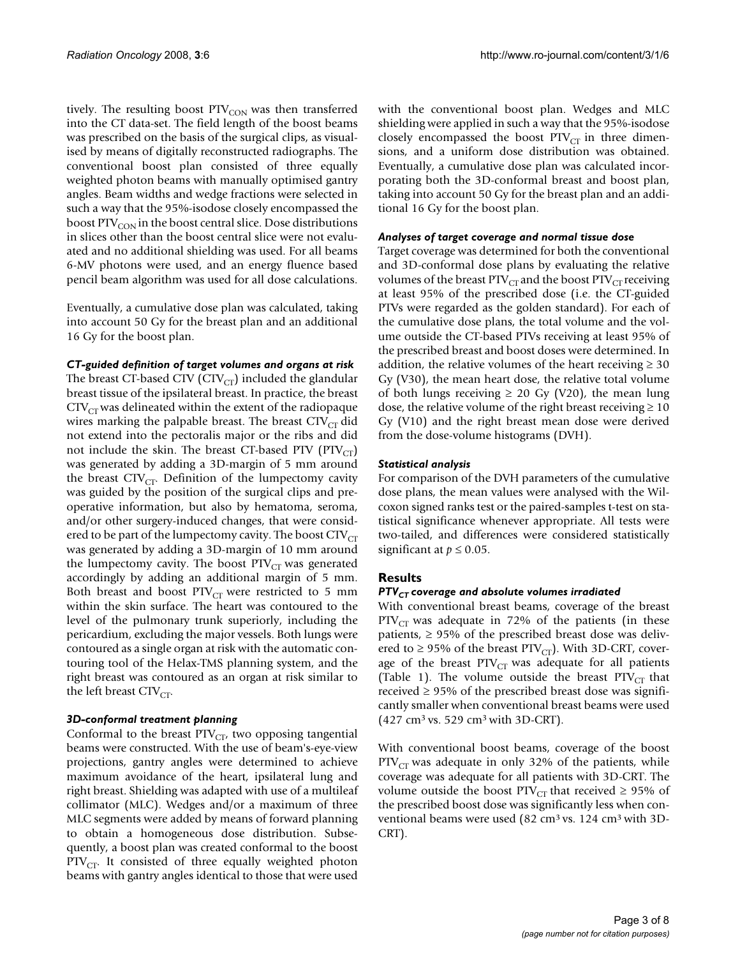tively. The resulting boost  $PTV_{CON}$  was then transferred into the CT data-set. The field length of the boost beams was prescribed on the basis of the surgical clips, as visualised by means of digitally reconstructed radiographs. The conventional boost plan consisted of three equally weighted photon beams with manually optimised gantry angles. Beam widths and wedge fractions were selected in such a way that the 95%-isodose closely encompassed the boost  $PTV<sub>CON</sub>$  in the boost central slice. Dose distributions in slices other than the boost central slice were not evaluated and no additional shielding was used. For all beams 6-MV photons were used, and an energy fluence based pencil beam algorithm was used for all dose calculations.

Eventually, a cumulative dose plan was calculated, taking into account 50 Gy for the breast plan and an additional 16 Gy for the boost plan.

#### *CT-guided definition of target volumes and organs at risk*

The breast CT-based CTV ( $\text{CTV}_{\text{CT}}$ ) included the glandular breast tissue of the ipsilateral breast. In practice, the breast  $\text{CTV}_{\text{CT}}$  was delineated within the extent of the radiopaque wires marking the palpable breast. The breast  $\text{CTV}_{CT}$  did not extend into the pectoralis major or the ribs and did not include the skin. The breast CT-based PTV ( $\text{PTV}_{\text{CT}}$ ) was generated by adding a 3D-margin of 5 mm around the breast  $\text{CTV}_{\text{CT}}$ . Definition of the lumpectomy cavity was guided by the position of the surgical clips and preoperative information, but also by hematoma, seroma, and/or other surgery-induced changes, that were considered to be part of the lumpectomy cavity. The boost  $\text{CTV}_{\text{CT}}$ was generated by adding a 3D-margin of 10 mm around the lumpectomy cavity. The boost  $PTV_{CT}$  was generated accordingly by adding an additional margin of 5 mm. Both breast and boost  $PIV_{CT}$  were restricted to 5 mm within the skin surface. The heart was contoured to the level of the pulmonary trunk superiorly, including the pericardium, excluding the major vessels. Both lungs were contoured as a single organ at risk with the automatic contouring tool of the Helax-TMS planning system, and the right breast was contoured as an organ at risk similar to the left breast  $\text{CTV}_{CT}$ .

#### *3D-conformal treatment planning*

Conformal to the breast  $\text{PTV}_{\text{CT}}$ , two opposing tangential beams were constructed. With the use of beam's-eye-view projections, gantry angles were determined to achieve maximum avoidance of the heart, ipsilateral lung and right breast. Shielding was adapted with use of a multileaf collimator (MLC). Wedges and/or a maximum of three MLC segments were added by means of forward planning to obtain a homogeneous dose distribution. Subsequently, a boost plan was created conformal to the boost  $PTV_{CT}$ . It consisted of three equally weighted photon beams with gantry angles identical to those that were used

with the conventional boost plan. Wedges and MLC shielding were applied in such a way that the 95%-isodose closely encompassed the boost  $PTV_{CT}$  in three dimensions, and a uniform dose distribution was obtained. Eventually, a cumulative dose plan was calculated incorporating both the 3D-conformal breast and boost plan, taking into account 50 Gy for the breast plan and an additional 16 Gy for the boost plan.

#### *Analyses of target coverage and normal tissue dose*

Target coverage was determined for both the conventional and 3D-conformal dose plans by evaluating the relative volumes of the breast  $PTV_{CT}$  and the boost  $PTV_{CT}$  receiving at least 95% of the prescribed dose (i.e. the CT-guided PTVs were regarded as the golden standard). For each of the cumulative dose plans, the total volume and the volume outside the CT-based PTVs receiving at least 95% of the prescribed breast and boost doses were determined. In addition, the relative volumes of the heart receiving  $\geq 30$ Gy (V30), the mean heart dose, the relative total volume of both lungs receiving  $\geq 20$  Gy (V20), the mean lung dose, the relative volume of the right breast receiving  $\geq 10$ Gy (V10) and the right breast mean dose were derived from the dose-volume histograms (DVH).

#### *Statistical analysis*

For comparison of the DVH parameters of the cumulative dose plans, the mean values were analysed with the Wilcoxon signed ranks test or the paired-samples t-test on statistical significance whenever appropriate. All tests were two-tailed, and differences were considered statistically significant at  $p \leq 0.05$ .

#### **Results**

#### **PTV<sub>CT</sub>** coverage and absolute volumes irradiated

With conventional breast beams, coverage of the breast  $PTV_{CT}$  was adequate in 72% of the patients (in these patients,  $\geq$  95% of the prescribed breast dose was delivered to  $\geq$  95% of the breast PTV<sub>CT</sub>). With 3D-CRT, coverage of the breast  $PIV_{CT}$  was adequate for all patients (Table 1). The volume outside the breast  $PTV_{CT}$  that received  $\geq$  95% of the prescribed breast dose was significantly smaller when conventional breast beams were used  $(427 \text{ cm}^3 \text{ vs. } 529 \text{ cm}^3 \text{ with } 3D-CRT).$ 

With conventional boost beams, coverage of the boost  $PIV_{CT}$  was adequate in only 32% of the patients, while coverage was adequate for all patients with 3D-CRT. The volume outside the boost PTV<sub>CT</sub> that received  $\geq$  95% of the prescribed boost dose was significantly less when conventional beams were used (82 cm3 vs. 124 cm3 with 3D-CRT).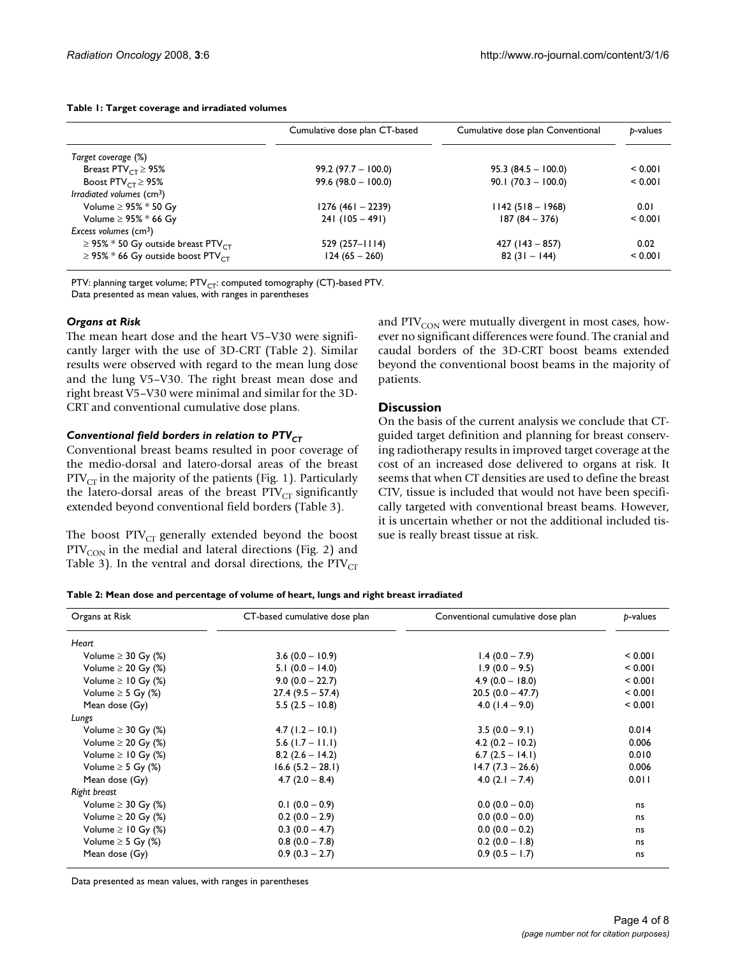|                                                     | Cumulative dose plan CT-based | Cumulative dose plan Conventional | p-values |  |
|-----------------------------------------------------|-------------------------------|-----------------------------------|----------|--|
| Target coverage (%)                                 |                               |                                   |          |  |
| Breast PTV $_{CT}$ $\geq$ 95%                       | $99.2(97.7 - 100.0)$          | $95.3(84.5 - 100.0)$              | < 0.001  |  |
| Boost PTV $_{\text{CT}}$ $\geq$ 95%                 | $99.6(98.0 - 100.0)$          | $90.1(70.3 - 100.0)$              | < 0.001  |  |
| Irradiated volumes $(cm3)$                          |                               |                                   |          |  |
| Volume $\geq$ 95% $*$ 50 Gy                         | $1276(461 - 2239)$            | $1142(518 - 1968)$                | 0.01     |  |
| Volume $\geq$ 95% $*$ 66 Gy                         | $241(105 - 491)$              | $187(84 - 376)$                   | < 0.001  |  |
| Excess volumes $(cm3)$                              |                               |                                   |          |  |
| $\geq$ 95% * 50 Gy outside breast PTV <sub>CT</sub> | $529(257 - 1114)$             | $427(143 - 857)$                  | 0.02     |  |
| $\geq$ 95% * 66 Gy outside boost PTV <sub>CT</sub>  | $124(65 - 260)$               | $82(31 - 144)$                    | < 0.001  |  |

#### **Table 1: Target coverage and irradiated volumes**

PTV: planning target volume;  $PTV_{CT}$ : computed tomography (CT)-based PTV. Data presented as mean values, with ranges in parentheses

#### *Organs at Risk*

The mean heart dose and the heart V5–V30 were significantly larger with the use of 3D-CRT (Table 2). Similar results were observed with regard to the mean lung dose and the lung V5–V30. The right breast mean dose and right breast V5–V30 were minimal and similar for the 3D-CRT and conventional cumulative dose plans.

#### Conventional field borders in relation to PTV<sub>CT</sub>

Conventional breast beams resulted in poor coverage of the medio-dorsal and latero-dorsal areas of the breast  $PTV_{CT}$  in the majority of the patients (Fig. 1). Particularly the latero-dorsal areas of the breast  $\text{PTV}_{CT}$  significantly extended beyond conventional field borders (Table 3).

The boost  $PIV_{CT}$  generally extended beyond the boost  $PTV<sub>CON</sub>$  in the medial and lateral directions (Fig. 2) and Table 3). In the ventral and dorsal directions, the  $\text{PTV}_{\text{CT}}$  and  $PTV_{CON}$  were mutually divergent in most cases, however no significant differences were found. The cranial and caudal borders of the 3D-CRT boost beams extended beyond the conventional boost beams in the majority of patients.

#### **Discussion**

On the basis of the current analysis we conclude that CTguided target definition and planning for breast conserving radiotherapy results in improved target coverage at the cost of an increased dose delivered to organs at risk. It seems that when CT densities are used to define the breast CTV, tissue is included that would not have been specifically targeted with conventional breast beams. However, it is uncertain whether or not the additional included tissue is really breast tissue at risk.

#### **Table 2: Mean dose and percentage of volume of heart, lungs and right breast irradiated**

| Organs at Risk          | CT-based cumulative dose plan | Conventional cumulative dose plan | p-values |  |
|-------------------------|-------------------------------|-----------------------------------|----------|--|
| Heart                   |                               |                                   |          |  |
| Volume $\geq$ 30 Gy (%) | $3.6(0.0 - 10.9)$             | $1.4(0.0 - 7.9)$                  | < 0.001  |  |
| Volume $\geq$ 20 Gy (%) | $5.1(0.0 - 14.0)$             | $1.9(0.0 - 9.5)$                  | < 0.001  |  |
| Volume $\geq$ 10 Gy (%) | $9.0 (0.0 - 22.7)$            | $4.9(0.0 - 18.0)$                 | < 0.001  |  |
| Volume $\geq$ 5 Gy (%)  | $27.4(9.5 - 57.4)$            | $20.5(0.0 - 47.7)$                | < 0.001  |  |
| Mean dose (Gy)          | $5.5(2.5 - 10.8)$             | 4.0 $(1.4 - 9.0)$                 | < 0.001  |  |
| Lungs                   |                               |                                   |          |  |
| Volume $\geq$ 30 Gy (%) | $4.7$ (1.2 – 10.1)            | $3.5(0.0 - 9.1)$                  | 0.014    |  |
| Volume $\geq$ 20 Gy (%) | $5.6$ (1.7 – 11.1)            | $4.2$ (0.2 - 10.2)                | 0.006    |  |
| Volume $\geq$ 10 Gy (%) | $8.2$ (2.6 – 14.2)            | $6.7(2.5 - 14.1)$                 | 0.010    |  |
| Volume $\geq$ 5 Gy (%)  | $16.6$ $(5.2 - 28.1)$         | $14.7 (7.3 - 26.6)$               | 0.006    |  |
| Mean dose (Gy)          | $4.7(2.0 - 8.4)$              | $4.0$ (2.1 – 7.4)                 | 0.011    |  |
| <b>Right breast</b>     |                               |                                   |          |  |
| Volume $\geq$ 30 Gy (%) | $0.1(0.0-0.9)$                | $0.0 (0.0 - 0.0)$                 | ns       |  |
| Volume $\geq$ 20 Gy (%) | $0.2(0.0-2.9)$                | $0.0(0.0-0.0)$                    | ns       |  |
| Volume $\geq$ 10 Gy (%) | $0.3(0.0 - 4.7)$              | $0.0 (0.0 - 0.2)$                 | ns       |  |
| Volume $\geq$ 5 Gy (%)  | $0.8(0.0 - 7.8)$              | $0.2$ (0.0 - 1.8)                 | ns       |  |
| Mean dose (Gy)          | $0.9(0.3 - 2.7)$              | $0.9(0.5 - 1.7)$                  | ns       |  |

Data presented as mean values, with ranges in parentheses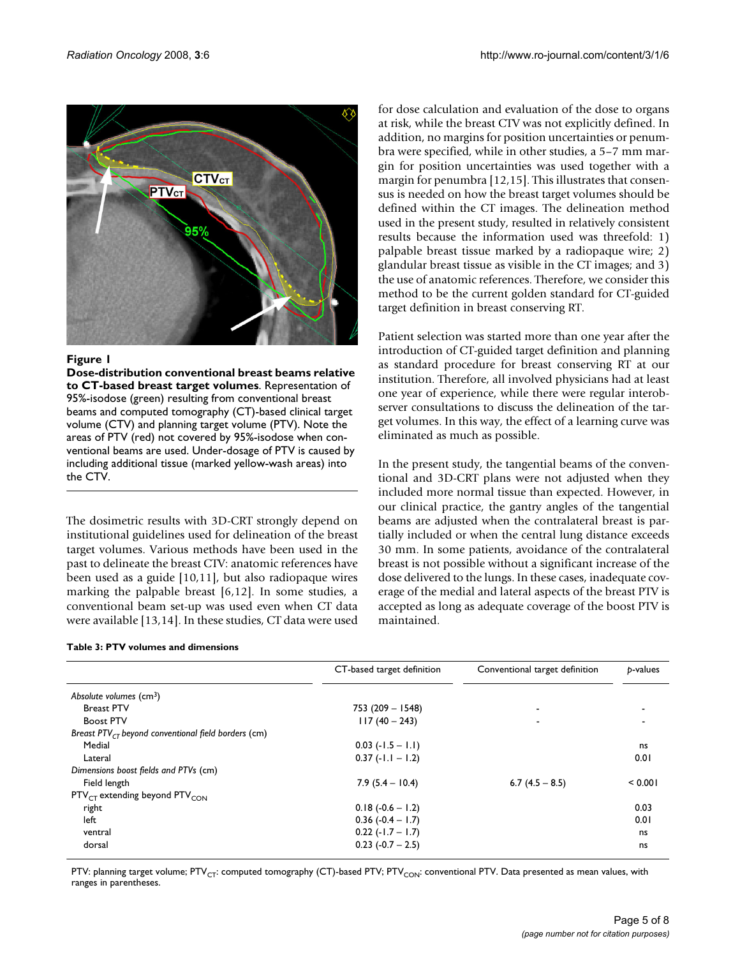

#### **Figure 1**

**Dose-distribution conventional breast beams relative to CT-based breast target volumes**. Representation of 95%-isodose (green) resulting from conventional breast beams and computed tomography (CT)-based clinical target volume (CTV) and planning target volume (PTV). Note the areas of PTV (red) not covered by 95%-isodose when conventional beams are used. Under-dosage of PTV is caused by including additional tissue (marked yellow-wash areas) into the CTV.

The dosimetric results with 3D-CRT strongly depend on institutional guidelines used for delineation of the breast target volumes. Various methods have been used in the past to delineate the breast CTV: anatomic references have been used as a guide [10,11], but also radiopaque wires marking the palpable breast [6,12]. In some studies, a conventional beam set-up was used even when CT data were available [13,14]. In these studies, CT data were used

#### **Table 3: PTV volumes and dimensions**

for dose calculation and evaluation of the dose to organs at risk, while the breast CTV was not explicitly defined. In addition, no margins for position uncertainties or penumbra were specified, while in other studies, a 5–7 mm margin for position uncertainties was used together with a margin for penumbra [12,15]. This illustrates that consensus is needed on how the breast target volumes should be defined within the CT images. The delineation method used in the present study, resulted in relatively consistent results because the information used was threefold: 1) palpable breast tissue marked by a radiopaque wire; 2) glandular breast tissue as visible in the CT images; and 3) the use of anatomic references. Therefore, we consider this method to be the current golden standard for CT-guided target definition in breast conserving RT.

Patient selection was started more than one year after the introduction of CT-guided target definition and planning as standard procedure for breast conserving RT at our institution. Therefore, all involved physicians had at least one year of experience, while there were regular interobserver consultations to discuss the delineation of the target volumes. In this way, the effect of a learning curve was eliminated as much as possible.

In the present study, the tangential beams of the conventional and 3D-CRT plans were not adjusted when they included more normal tissue than expected. However, in our clinical practice, the gantry angles of the tangential beams are adjusted when the contralateral breast is partially included or when the central lung distance exceeds 30 mm. In some patients, avoidance of the contralateral breast is not possible without a significant increase of the dose delivered to the lungs. In these cases, inadequate coverage of the medial and lateral aspects of the breast PTV is accepted as long as adequate coverage of the boost PTV is maintained.

|                                                           | CT-based target definition<br>Conventional target definition |                          | p-values |  |
|-----------------------------------------------------------|--------------------------------------------------------------|--------------------------|----------|--|
| Absolute volumes (cm <sup>3</sup> )                       |                                                              |                          |          |  |
| <b>Breast PTV</b>                                         | $753(209 - 1548)$                                            | $\overline{\phantom{a}}$ |          |  |
| <b>Boost PTV</b>                                          | $117(40 - 243)$                                              | ٠                        |          |  |
| Breast PTV $_{CT}$ beyond conventional field borders (cm) |                                                              |                          |          |  |
| Medial                                                    | $0.03$ (-1.5 – 1.1)                                          |                          | ns       |  |
| Lateral                                                   | $0.37(-1.1 - 1.2)$                                           |                          | 0.01     |  |
| Dimensions boost fields and PTVs (cm)                     |                                                              |                          |          |  |
| Field length                                              | $7.9(5.4 - 10.4)$                                            | $6.7(4.5 - 8.5)$         | < 0.001  |  |
| $PTV_{CT}$ extending beyond PTV $_{CON}$                  |                                                              |                          |          |  |
| right                                                     | $0.18(-0.6 - 1.2)$                                           |                          | 0.03     |  |
| left                                                      | $0.36(-0.4 - 1.7)$                                           |                          | 0.01     |  |
| ventral                                                   | $0.22$ (-1.7 – 1.7)                                          |                          | ns       |  |
| dorsal                                                    | $0.23$ (-0.7 – 2.5)                                          |                          | ns       |  |

PTV: planning target volume; PTV<sub>CT</sub>: computed tomography (CT)-based PTV; PTV<sub>CON</sub>: conventional PTV. Data presented as mean values, with ranges in parentheses.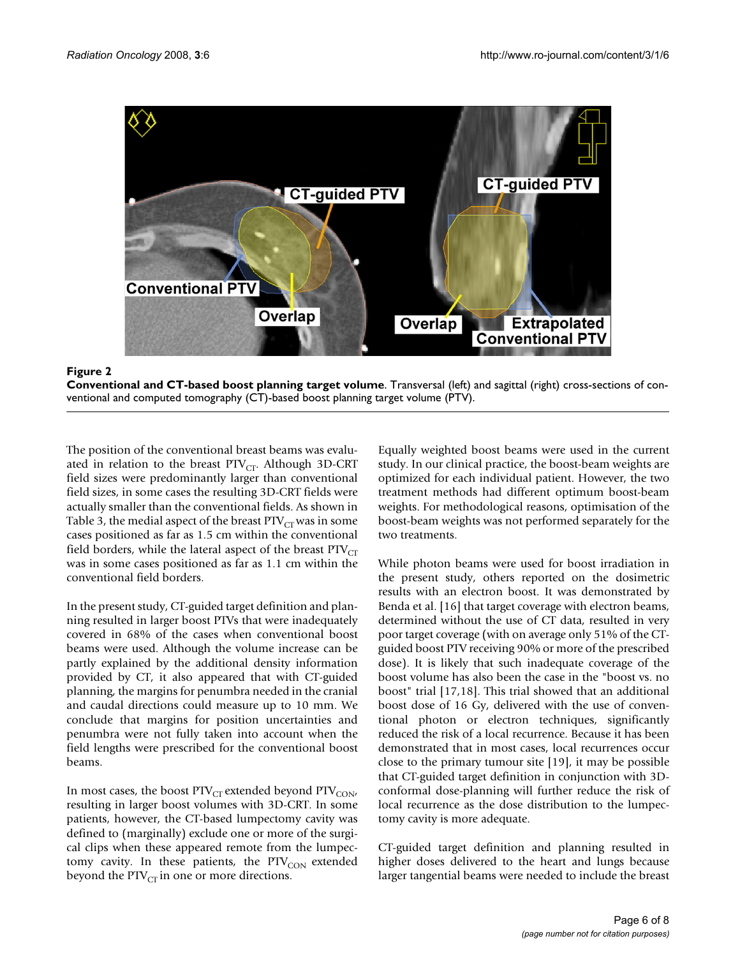

Figure 2 **Conventional and CT-based boost planning target volume**. Transversal (left) and sagittal (right) cross-sections of conventional and computed tomography (CT)-based boost planning target volume (PTV).

The position of the conventional breast beams was evaluated in relation to the breast  $PTV_{CT}$ . Although 3D-CRT field sizes were predominantly larger than conventional field sizes, in some cases the resulting 3D-CRT fields were actually smaller than the conventional fields. As shown in Table 3, the medial aspect of the breast  $PTV_{CT}$  was in some cases positioned as far as 1.5 cm within the conventional field borders, while the lateral aspect of the breast  $\text{PTV}_{CT}$ was in some cases positioned as far as 1.1 cm within the conventional field borders.

In the present study, CT-guided target definition and planning resulted in larger boost PTVs that were inadequately covered in 68% of the cases when conventional boost beams were used. Although the volume increase can be partly explained by the additional density information provided by CT, it also appeared that with CT-guided planning, the margins for penumbra needed in the cranial and caudal directions could measure up to 10 mm. We conclude that margins for position uncertainties and penumbra were not fully taken into account when the field lengths were prescribed for the conventional boost beams.

In most cases, the boost  $\text{PTV}_{CT}$  extended beyond  $\text{PTV}_{CON'}$ resulting in larger boost volumes with 3D-CRT. In some patients, however, the CT-based lumpectomy cavity was defined to (marginally) exclude one or more of the surgical clips when these appeared remote from the lumpectomy cavity. In these patients, the  $PTV_{CON}$  extended beyond the  $PTV_{CT}$  in one or more directions.

Equally weighted boost beams were used in the current study. In our clinical practice, the boost-beam weights are optimized for each individual patient. However, the two treatment methods had different optimum boost-beam weights. For methodological reasons, optimisation of the boost-beam weights was not performed separately for the two treatments.

While photon beams were used for boost irradiation in the present study, others reported on the dosimetric results with an electron boost. It was demonstrated by Benda et al. [16] that target coverage with electron beams, determined without the use of CT data, resulted in very poor target coverage (with on average only 51% of the CTguided boost PTV receiving 90% or more of the prescribed dose). It is likely that such inadequate coverage of the boost volume has also been the case in the "boost vs. no boost" trial [17,18]. This trial showed that an additional boost dose of 16 Gy, delivered with the use of conventional photon or electron techniques, significantly reduced the risk of a local recurrence. Because it has been demonstrated that in most cases, local recurrences occur close to the primary tumour site [19], it may be possible that CT-guided target definition in conjunction with 3Dconformal dose-planning will further reduce the risk of local recurrence as the dose distribution to the lumpectomy cavity is more adequate.

CT-guided target definition and planning resulted in higher doses delivered to the heart and lungs because larger tangential beams were needed to include the breast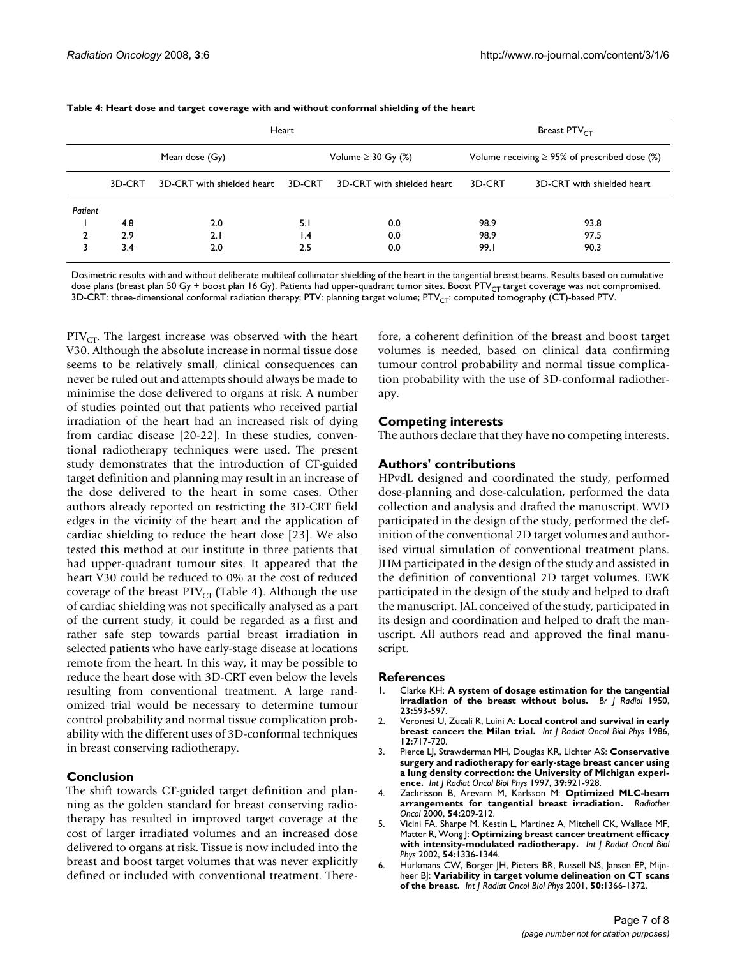|         | Heart          |                            |                         | Breast $PTV_{CT}$          |                                                    |                            |
|---------|----------------|----------------------------|-------------------------|----------------------------|----------------------------------------------------|----------------------------|
|         | Mean dose (Gy) |                            | Volume $\geq$ 30 Gy (%) |                            | Volume receiving $\geq$ 95% of prescribed dose (%) |                            |
|         | 3D-CRT         | 3D-CRT with shielded heart | 3D-CRT                  | 3D-CRT with shielded heart | 3D-CRT                                             | 3D-CRT with shielded heart |
| Patient |                |                            |                         |                            |                                                    |                            |
|         | 4.8            | 2.0                        | 5.1                     | 0.0                        | 98.9                                               | 93.8                       |
|         | 2.9            | 2.1                        | $\mathsf{I}$ .4         | 0.0                        | 98.9                                               | 97.5                       |
|         | 3.4            | 2.0                        | 2.5                     | 0.0                        | 99.I                                               | 90.3                       |

**Table 4: Heart dose and target coverage with and without conformal shielding of the heart**

Dosimetric results with and without deliberate multileaf collimator shielding of the heart in the tangential breast beams. Results based on cumulative dose plans (breast plan 50 Gy + boost plan 16 Gy). Patients had upper-quadrant tumor sites. Boost PTV<sub>CT</sub> target coverage was not compromised. 3D-CRT: three-dimensional conformal radiation therapy; PTV: planning target volume; PTV<sub>CT</sub>: computed tomography (CT)-based PTV.

 $PIV<sub>CT</sub>$ . The largest increase was observed with the heart V30. Although the absolute increase in normal tissue dose seems to be relatively small, clinical consequences can never be ruled out and attempts should always be made to minimise the dose delivered to organs at risk. A number of studies pointed out that patients who received partial irradiation of the heart had an increased risk of dying from cardiac disease [20-22]. In these studies, conventional radiotherapy techniques were used. The present study demonstrates that the introduction of CT-guided target definition and planning may result in an increase of the dose delivered to the heart in some cases. Other authors already reported on restricting the 3D-CRT field edges in the vicinity of the heart and the application of cardiac shielding to reduce the heart dose [23]. We also tested this method at our institute in three patients that had upper-quadrant tumour sites. It appeared that the heart V30 could be reduced to 0% at the cost of reduced coverage of the breast  $PIV_{CT}$  (Table 4). Although the use of cardiac shielding was not specifically analysed as a part of the current study, it could be regarded as a first and rather safe step towards partial breast irradiation in selected patients who have early-stage disease at locations remote from the heart. In this way, it may be possible to reduce the heart dose with 3D-CRT even below the levels resulting from conventional treatment. A large randomized trial would be necessary to determine tumour control probability and normal tissue complication probability with the different uses of 3D-conformal techniques in breast conserving radiotherapy.

#### **Conclusion**

The shift towards CT-guided target definition and planning as the golden standard for breast conserving radiotherapy has resulted in improved target coverage at the cost of larger irradiated volumes and an increased dose delivered to organs at risk. Tissue is now included into the breast and boost target volumes that was never explicitly defined or included with conventional treatment. Therefore, a coherent definition of the breast and boost target volumes is needed, based on clinical data confirming tumour control probability and normal tissue complication probability with the use of 3D-conformal radiotherapy.

#### **Competing interests**

The authors declare that they have no competing interests.

#### **Authors' contributions**

HPvdL designed and coordinated the study, performed dose-planning and dose-calculation, performed the data collection and analysis and drafted the manuscript. WVD participated in the design of the study, performed the definition of the conventional 2D target volumes and authorised virtual simulation of conventional treatment plans. JHM participated in the design of the study and assisted in the definition of conventional 2D target volumes. EWK participated in the design of the study and helped to draft the manuscript. JAL conceived of the study, participated in its design and coordination and helped to draft the manuscript. All authors read and approved the final manuscript.

#### **References**

- 1. Clarke KH: **[A system of dosage estimation for the tangential](http://www.ncbi.nlm.nih.gov/entrez/query.fcgi?cmd=Retrieve&db=PubMed&dopt=Abstract&list_uids=14777873) [irradiation of the breast without bolus.](http://www.ncbi.nlm.nih.gov/entrez/query.fcgi?cmd=Retrieve&db=PubMed&dopt=Abstract&list_uids=14777873)** *Br J Radiol* 1950, **23:**593-597.
- 2. Veronesi U, Zucali R, Luini A: **[Local control and survival in early](http://www.ncbi.nlm.nih.gov/entrez/query.fcgi?cmd=Retrieve&db=PubMed&dopt=Abstract&list_uids=3519549) [breast cancer: the Milan trial.](http://www.ncbi.nlm.nih.gov/entrez/query.fcgi?cmd=Retrieve&db=PubMed&dopt=Abstract&list_uids=3519549)** *Int J Radiat Oncol Biol Phys* 1986, **12:**717-720.
- 3. Pierce LJ, Strawderman MH, Douglas KR, Lichter AS: **[Conservative](http://www.ncbi.nlm.nih.gov/entrez/query.fcgi?cmd=Retrieve&db=PubMed&dopt=Abstract&list_uids=9369142) [surgery and radiotherapy for early-stage breast cancer using](http://www.ncbi.nlm.nih.gov/entrez/query.fcgi?cmd=Retrieve&db=PubMed&dopt=Abstract&list_uids=9369142) a lung density correction: the University of Michigan experi[ence.](http://www.ncbi.nlm.nih.gov/entrez/query.fcgi?cmd=Retrieve&db=PubMed&dopt=Abstract&list_uids=9369142)** *Int J Radiat Oncol Biol Phys* 1997, **39:**921-928.
- 4. Zackrisson B, Arevarn M, Karlsson M: **[Optimized MLC-beam](http://www.ncbi.nlm.nih.gov/entrez/query.fcgi?cmd=Retrieve&db=PubMed&dopt=Abstract&list_uids=10738078) [arrangements for tangential breast irradiation.](http://www.ncbi.nlm.nih.gov/entrez/query.fcgi?cmd=Retrieve&db=PubMed&dopt=Abstract&list_uids=10738078)** *Radiother Oncol* 2000, **54:**209-212.
- 5. Vicini FA, Sharpe M, Kestin L, Martinez A, Mitchell CK, Wallace MF, Matter R, Wong J: **[Optimizing breast cancer treatment efficacy](http://www.ncbi.nlm.nih.gov/entrez/query.fcgi?cmd=Retrieve&db=PubMed&dopt=Abstract&list_uids=12459355) [with intensity-modulated radiotherapy.](http://www.ncbi.nlm.nih.gov/entrez/query.fcgi?cmd=Retrieve&db=PubMed&dopt=Abstract&list_uids=12459355)** *Int J Radiat Oncol Biol Phys* 2002, **54:**1336-1344.
- 6. Hurkmans CW, Borger JH, Pieters BR, Russell NS, Jansen EP, Mijnheer BJ: **[Variability in target volume delineation on CT scans](http://www.ncbi.nlm.nih.gov/entrez/query.fcgi?cmd=Retrieve&db=PubMed&dopt=Abstract&list_uids=11483349) [of the breast.](http://www.ncbi.nlm.nih.gov/entrez/query.fcgi?cmd=Retrieve&db=PubMed&dopt=Abstract&list_uids=11483349)** *Int J Radiat Oncol Biol Phys* 2001, **50:**1366-1372.